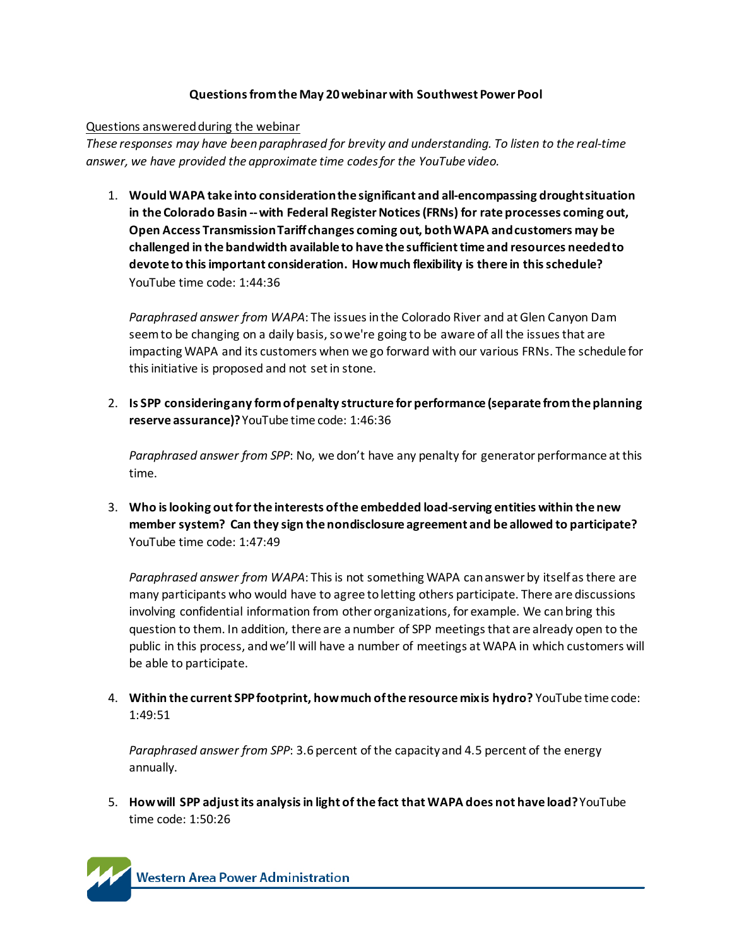#### **Questions from the May 20 webinar with Southwest Power Pool**

#### Questions answered during the webinar

*These responses may have been paraphrased for brevity and understanding. To listen to the real-time answer, we have provided the approximate time codes for the YouTube video.* 

1. **Would WAPA take into consideration the significant and all-encompassing drought situation in the Colorado Basin --with Federal Register Notices(FRNs) for rate processes coming out, Open Access Transmission Tariff changes coming out, both WAPA and customers may be challenged in the bandwidth available to have the sufficient time and resources needed to devote to this important consideration. How much flexibility is there in this schedule?**  YouTube time code: 1:44:36

*Paraphrased answer from WAPA*: The issues in the Colorado River and at Glen Canyon Dam seem to be changing on a daily basis, so we're going to be aware of all the issues that are impacting WAPA and its customers when we go forward with our various FRNs. The schedule for this initiative is proposed and not set in stone.

2. **Is SPP considering any form of penalty structure for performance (separate from the planning reserve assurance)?** YouTube time code: 1:46:36

*Paraphrased answer from SPP*: No, we don't have any penalty for generator performance at this time.

3. **Who is looking out for the interests of the embedded load-serving entities within the new member system? Can they sign the nondisclosure agreement and be allowed to participate?** YouTube time code: 1:47:49

*Paraphrased answer from WAPA*: This is not something WAPA can answer by itself as there are many participants who would have to agree to letting others participate. There are discussions involving confidential information from other organizations, for example. We can bring this question to them. In addition, there are a number of SPP meetings that are already open to the public in this process, and we'll will have a number of meetings at WAPA in which customers will be able to participate.

4. **Within the current SPP footprint, how much of the resource mix is hydro?** YouTube time code: 1:49:51

*Paraphrased answer from SPP*: 3.6 percent of the capacity and 4.5 percent of the energy annually.

5. **How will SPP adjust its analysis in light of the fact that WAPA does not have load?**YouTube time code: 1:50:26

**Western Area Power Administration**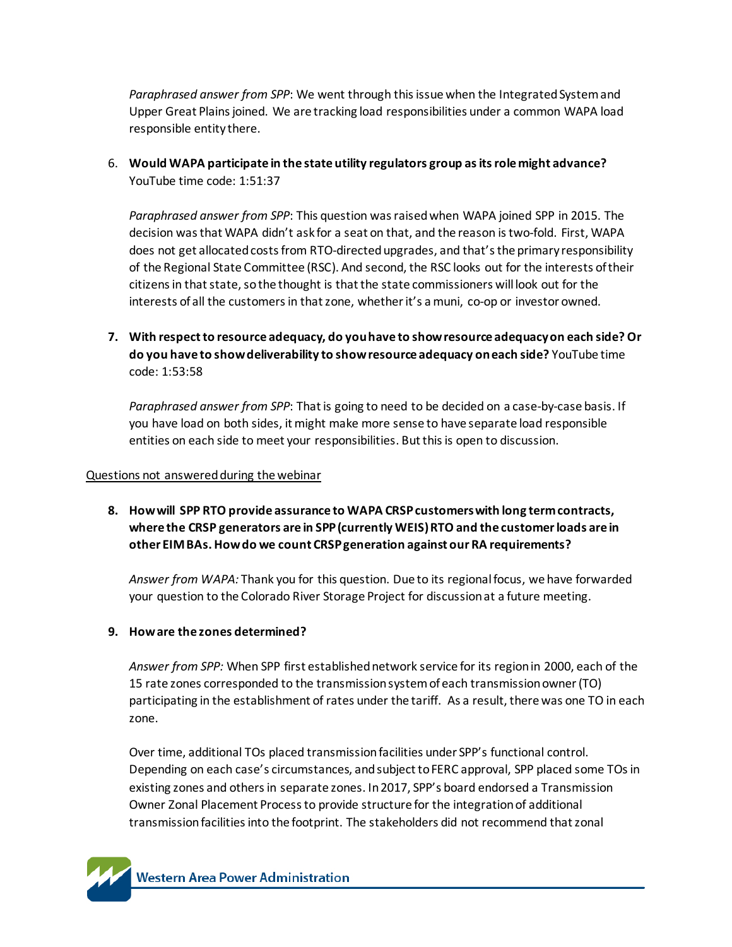*Paraphrased answer from SPP*: We went through this issue when the Integrated System and Upper Great Plains joined. We are tracking load responsibilities under a common WAPA load responsible entity there.

6. **Would WAPA participate in the state utility regulators group as its role might advance?** YouTube time code: 1:51:37

*Paraphrased answer from SPP*: This question was raised when WAPA joined SPP in 2015. The decision was that WAPA didn't ask for a seat on that, and the reason is two-fold. First, WAPA does not get allocated costs from RTO-directed upgrades, and that's the primary responsibility of the Regional State Committee (RSC). And second, the RSC looks out for the interests of their citizens in that state, so the thought is that the state commissioners will look out for the interests of all the customers in that zone, whether it's a muni, co-op or investor owned.

**7. With respect to resource adequacy, do you have to show resource adequacy on each side? Or do you have to show deliverability to show resource adequacy on each side?** YouTube time code: 1:53:58

*Paraphrased answer from SPP*: That is going to need to be decided on a case-by-case basis. If you have load on both sides, it might make more sense to have separate load responsible entities on each side to meet your responsibilities. But this is open to discussion.

#### Questions not answered during the webinar

**8. How will SPP RTO provide assurance to WAPA CRSP customers with long term contracts, where the CRSP generators are in SPP (currently WEIS) RTO and the customer loads are in other EIM BAs. How do we count CRSP generation against our RA requirements?**

*Answer from WAPA:* Thank you for this question. Due to its regional focus, we have forwarded your question to the Colorado River Storage Project for discussion at a future meeting.

### **9. How are the zones determined?**

*Answer from SPP:* When SPP first established network service for its region in 2000, each of the 15 rate zones corresponded to the transmission system of each transmission owner(TO) participating in the establishment of rates under the tariff. As a result, there was one TO in each zone.

Over time, additional TOs placed transmission facilities under SPP's functional control. Depending on each case's circumstances, and subject to FERC approval, SPP placed some TOs in existing zones and others in separate zones. In 2017, SPP's board endorsed a Transmission Owner Zonal Placement Process to provide structure for the integration of additional transmission facilities into the footprint. The stakeholders did not recommend that zonal